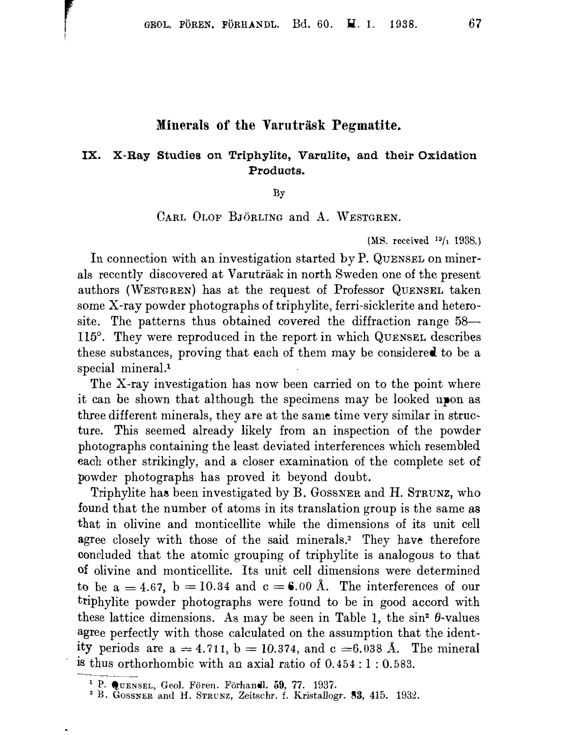## Minerals of the Varuträsk Pegmatite.

## IX. X-Ray Studies on Triphylite, Varulite, and their Oxidation Products.

 $Bv$ 

## CARL OLOF BJÖRLING and A. WESTGREN.

(MS. received  $13/1$  1938.)

In connection with an investigation started by P. QUENSEL on minerals recently discovered at Varuträsk in north Sweden one of the present authors (WESTGREN) has at the request of Professor QUENSEL taken some X-ray powder photographs of triphylite, ferri-sicklerite and heterosite. The patterns thus obtained covered the diffraction range 58— 115°. They were reproduced in the report in which QUENSEL describes these substances, proving that each of them may be considered to be a special mineral.<sup>1</sup>

The X-ray investigation has now been carried on to the point where it can be shown that although the specimens may be looked upon as three different minerals, they are at the same time very similar in structure. This seemed already likely from an inspection of the powder photographs containing the least deviated interferences which resembled each other strikingly, and a closer examination of the complete set of powder photographs has proved it beyond doubt.

Triphylite has been investigated by B. GOSSNER and H. STRUNZ, who found that the number of atoms in its translation group is the same as that in olivine and monticellite while the dimensions of its unit cell agree closely with those of the said minerals.<sup>2</sup> They have therefore concluded that the atomic grouping of triphylite is analogous to that of olivine and monticellite. Its unit cell dimensions were determined to be a = 4.67, b = 10.34 and c = 6.00 Å. The interferences of our triphylite powder photographs were found to be in good accord with these lattice dimensions. As may be seen in Table 1, the  $\sin^2 \theta$ -values agree perfectly with those calculated on the assumption that the identity periods are  $a = 4.711$ ,  $b = 10.374$ , and  $c = 6.038$  Å. The mineral is thus orthorhombic with an axial ratio of  $0.454:1:0.583$ .

<sup>&</sup>lt;sup>1</sup> P. OUENSEL, Geol. Fören. Förhandl. 59, 77. 1937.

<sup>&</sup>lt;sup>2</sup> B. GOSSNER and H. STRUNZ, Zeitschr. f. Kristallogr. 83, 415. 1932.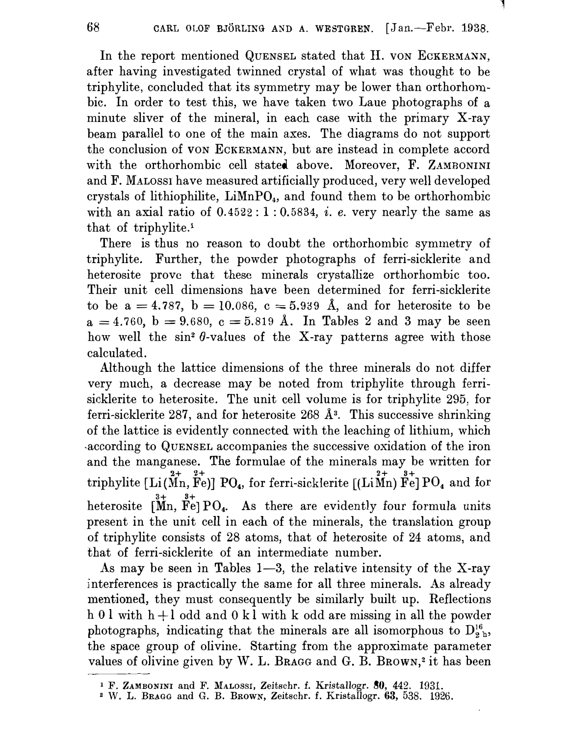In the report mentioned QUENSEL stated that H. VON ECKERMANN. after having investigated twinned crystal of what was thought to be triphylite, concluded that its symmetry may be lower than orthorhombic. In order to test this, we have taken two Laue photographs of a minute sliver of the mineral, in each case with the primary X-ray beam parallel to one of the main axes. The diagrams do not support the conclusion of VON ECKERMANN, but are instead in complete accord with the orthorhombic cell stated above. Moreover, F. ZAMBONINI and F. MALOSSI have measured artificially produced, very well developed crystals of lithiophilite, LiMnPO<sub>4</sub>, and found them to be orthorhombic with an axial ratio of  $0.4522:1:0.5834$ , *i. e.* very nearly the same as that of triphylite.<sup>1</sup>

There is thus no reason to doubt the orthorhombic symmetry of triphylite. Further, the powder photographs of ferri-sicklerite and heterosite prove that these minerals crystallize orthorhombic too. Their unit cell dimensions have been determined for ferri-sicklerite to be  $a = 4.787$ ,  $b = 10.086$ ,  $c = 5.939$  Å, and for heterosite to be  $a = 4.760$ ,  $b = 9.680$ ,  $c = 5.819$  Å. In Tables 2 and 3 may be seen how well the  $\sin^2 \theta$ -values of the X-ray patterns agree with those calculated.

Although the lattice dimensions of the three minerals do not differ very much, a decrease may be noted from triphylite through ferrisicklerite to heterosite. The unit cell volume is for triphylite 295, for ferri-sicklerite 287, and for heterosite 268  $\AA$ <sup>3</sup>. This successive shrinking of the lattice is evidently connected with the leaching of lithium, which according to QUENSEL accompanies the successive oxidation of the iron and the manganese. The formulae of the minerals may be written for triphylite [Li(Mn, Fe)] PO<sub>4</sub>, for ferri-sicklerite [(LiMn)  $\mathbf{\hat{F}}_{e}^{2+}$ ] PO<sub>4</sub> and for heterosite  $\[\mathbf{M}_n, \ \mathbf{F}_e\]$  PO<sub>4</sub>. As there are evidently four formula units present in the unit cell in each of the minerals, the translation group of triphylite consists of 28 atoms, that of heterosite of 24 atoms, and that of ferri-sicklerite of an intermediate number.

As may be seen in Tables  $1-3$ , the relative intensity of the X-ray interferences is practically the same for all three minerals. As already mentioned, they must consequently be similarly built up. Reflections h 0 l with  $h + l$  odd and 0 kl with k odd are missing in all the powder photographs, indicating that the minerals are all isomorphous to  $D_{2h}^{16}$ , the space group of olivine. Starting from the approximate parameter values of olivine given by W. L. BRAGG and G. B. BROWN,<sup>2</sup> it has been

<sup>&</sup>lt;sup>1</sup> F. ZAMBONINI and F. MALOSSI, Zeitschr. f. Kristallogr. 80, 442. 1931.<br><sup>2</sup> W. L. Bragg and G. B. Brown, Zeitschr. f. Kristallogr. 63, 538. 1926.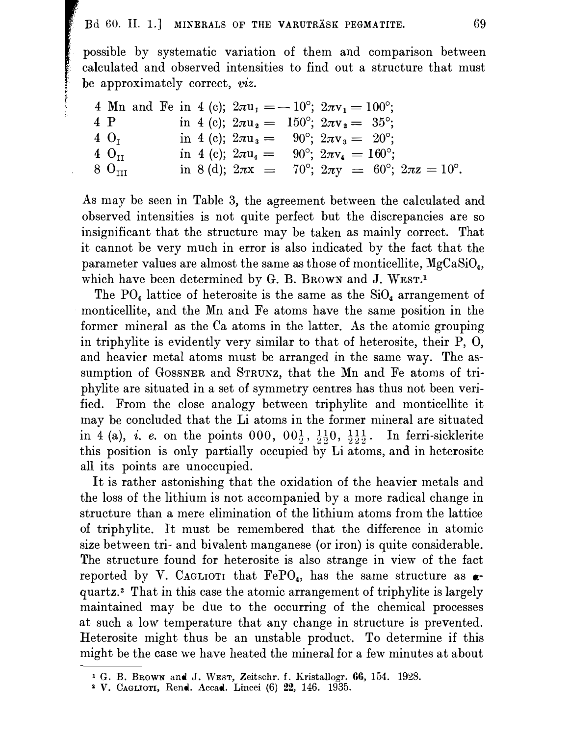possible by systematic variation of them and comparison between calculated and observed intensities to find out a structure that must be approximately correct, viz.

4 Mn and Fe in 4 (c); 
$$
2\pi u_1 = -10^{\circ}
$$
;  $2\pi v_1 = 100^{\circ}$ ;  
\n4 P in 4 (c);  $2\pi u_2 = 150^{\circ}$ ;  $2\pi v_2 = 35^{\circ}$ ;  
\n4 O<sub>I</sub> in 4 (c);  $2\pi u_3 = 90^{\circ}$ ;  $2\pi v_3 = 20^{\circ}$ ;  
\n4 O<sub>II</sub> in 4 (c);  $2\pi u_4 = 90^{\circ}$ ;  $2\pi v_4 = 160^{\circ}$ ;  
\n8 O<sub>III</sub> in 8 (d);  $2\pi x = 70^{\circ}$ ;  $2\pi y = 60^{\circ}$ ;  $2\pi z = 10^{\circ}$ .

As may be seen in Table 3, the agreement between the calculated and observed intensities is not quite perfect but the discrepancies are so insignificant that the structure may be taken as mainly correct. That it cannot be very much in error is also indicated by the fact that the parameter values are almost the same as those of monticellite,  $MgCaSiO<sub>4</sub>$ , which have been determined by G. B. BROWN and J. WEST.<sup>1</sup>

The  $PO_4$  lattice of heterosite is the same as the  $SiO_4$  arrangement of monticellite, and the Mn and Fe atoms have the same position in the former mineral as the Ca atoms in the latter. As the atomic grouping in triphylite is evidently very similar to that of heterosite, their P, O, and heavier metal atoms must be arranged in the same way. The assumption of GOSSNER and STRUNZ, that the Mn and Fe atoms of triphylite are situated in a set of symmetry centres has thus not been verified. From the close analogy between triphylite and monticellite it may be concluded that the Li atoms in the former mineral are situated in 4 (a), *i. e.* on the points 000,  $00\frac{1}{2}$ ,  $\frac{11}{2}0$ ,  $\frac{11}{2}$ ,  $\frac{11}{2}$ . In ferri-sicklerite this position is only partially occupied by Li atoms, and in heterosite all its points are unoccupied.

It is rather astonishing that the oxidation of the heavier metals and the loss of the lithium is not accompanied by a more radical change in structure than a mere elimination of the lithium atoms from the lattice of triphylite. It must be remembered that the difference in atomic size between tri- and bivalent manganese (or iron) is quite considerable. The structure found for heterosite is also strange in view of the fact reported by V. CAGLIOTI that  $FePO<sub>4</sub>$ , has the same structure as  $\alpha$ quartz.<sup>2</sup> That in this case the atomic arrangement of triphylite is largely maintained may be due to the occurring of the chemical processes at such a low temperature that any change in structure is prevented. Heterosite might thus be an unstable product. To determine if this might be the case we have heated the mineral for a few minutes at about

<sup>&</sup>lt;sup>1</sup> G. B. BROWN and J. WEST, Zeitschr. f. Kristallogr. 66, 154. 1928.

<sup>&</sup>lt;sup>2</sup> V. CAGLIOTI, Rend. Accad. Lincei (6) 22, 146. 1935.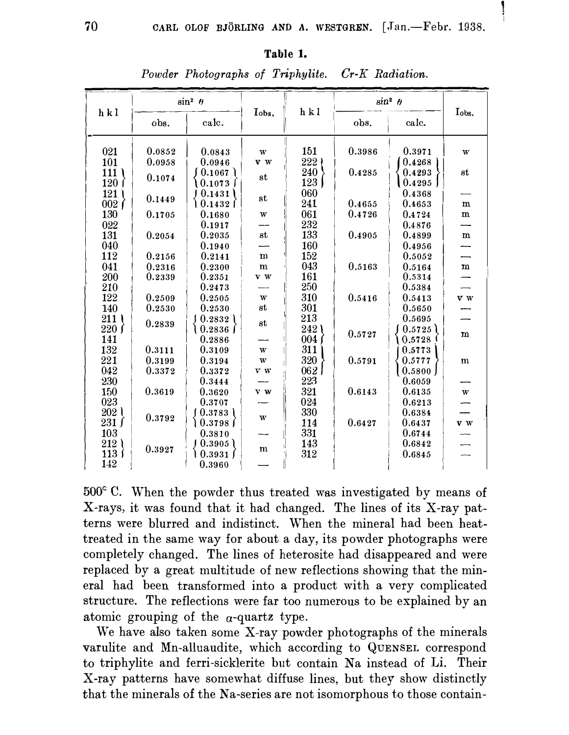| Table |
|-------|
|-------|

Powder Photographs of Triphylite. Cr-K Radiation.

| hkl              | $\sin^2 \theta$ |            | Tobs.                   | hkl  | $\sin^2 \theta$ | Iobs.  |              |
|------------------|-----------------|------------|-------------------------|------|-----------------|--------|--------------|
|                  | obs.            | calc.      |                         |      | obs.            | calc.  |              |
| 021              | 0.0852          | 0.0843     | $\ensuremath{\text{w}}$ | 151  | 0.3986          | 0.3971 | W            |
| 101              | 0.0958          | 0.0946     | V W                     | 222  |                 | 0.4268 |              |
| 111              |                 | 0.1067     |                         | 240  | 0.4285          | 0.4293 | st           |
| 120              | 0.1074          | 0.1073     | st                      | 123  |                 | 0.4295 |              |
| 121              |                 | 0.1431     |                         | 060  |                 | 0.4368 |              |
| 002 <sub>1</sub> | 0.1449          | 0.1432     | $_{\rm st}$             | 241  | 0.4655          | 0.4653 | ${\bf m}$    |
| 130              | 0.1705          | 0.1680     | W                       | 061  | 0.4726          | 0.4724 | ${\bf m}$    |
| 022              |                 | 0.1917     |                         | 232  |                 | 0.4876 |              |
| 131              | 0.2054          | 0.2035     | $_{\rm st}$             | 133  | 0.4905          | 0.4899 | ${\bf m}$    |
| 040              |                 | 0.1940     |                         | 160  |                 | 0.4956 |              |
| 112              | 0.2156          | 0.2141     | m                       | 152  |                 | 0.5052 |              |
| 041              | 0.2316          | 0.2300     | m                       | 043  | 0.5163          | 0.5164 | $\mathbf{m}$ |
| 200              | 0.2339          | 0.2351     | v w                     | 161  |                 | 0.5314 |              |
| 210              |                 | 0.2473     |                         | 250  |                 | 0.5384 |              |
| 122              | 0.2509          | 0.2505     | W                       | 310  | 0.5416          | 0.5413 | v w          |
| 140              | 0.2530          | 0.2530     | $_{\rm st}$             | 301  |                 | 0.5650 |              |
| 211              | 0.2839          | 0.2832     | $_{\rm st}$             | 213  |                 | 0.5695 |              |
| 220f             |                 | 0.2836     |                         | 242) | 0.5727          | 0.5725 | m            |
| 141              |                 | 0.2886     |                         | 004  |                 | 0.5728 |              |
| 132              | 0.3111          | 0.3109     | $\ensuremath{\text{w}}$ | 311  |                 | 0.5773 |              |
| 221              | 0.3199          | 0.3194     | W                       | 320  | 0.5791          | 0.5777 | m            |
| 042              | 0.3372          | 0.3372     | v w                     | 062  |                 | 0.5800 |              |
| 230              |                 | 0.3444     |                         | 223  |                 | 0.6059 |              |
| 150              | 0.3619          | 0.3620     | v w                     | 321  | 0.6143          | 0.6135 | W            |
| 023              |                 | 0.3707     |                         | 024  |                 | 0.6213 |              |
| 202 <sub>1</sub> | 0.3792          | 0.3783     | $\ensuremath{\text{W}}$ | 330  |                 | 0.6384 |              |
| 231 f            |                 | ) 0.3798 J |                         | 114  | 0.6427          | 0.6437 | v w          |
| 103              |                 | 0.3810     |                         | 331  |                 | 0.6744 |              |
| 212)             | 0.3927          | 0.3905     | m                       | 143  |                 | 0.6842 |              |
| $113 \;$         |                 | 0.3931     |                         | 312  |                 | 0.6845 |              |
| 142              |                 | 0.3960     |                         |      |                 |        |              |

 $500^{\circ}$  C. When the powder thus treated was investigated by means of X-rays, it was found that it had changed. The lines of its X-ray patterns were blurred and indistinct. When the mineral had been heattreated in the same way for about a day, its powder photographs were completely changed. The lines of heterosite had disappeared and were replaced by a great multitude of new reflections showing that the mineral had been transformed into a product with a very complicated structure. The reflections were far too numerous to be explained by an atomic grouping of the  $\alpha$ -quartz type.

We have also taken some X-ray powder photographs of the minerals varulite and Mn-alluaudite, which according to QUENSEL correspond to triphylite and ferri-sicklerite but contain Na instead of Li. Their X-ray patterns have somewhat diffuse lines, but they show distinctly that the minerals of the Na-series are not isomorphous to those contain-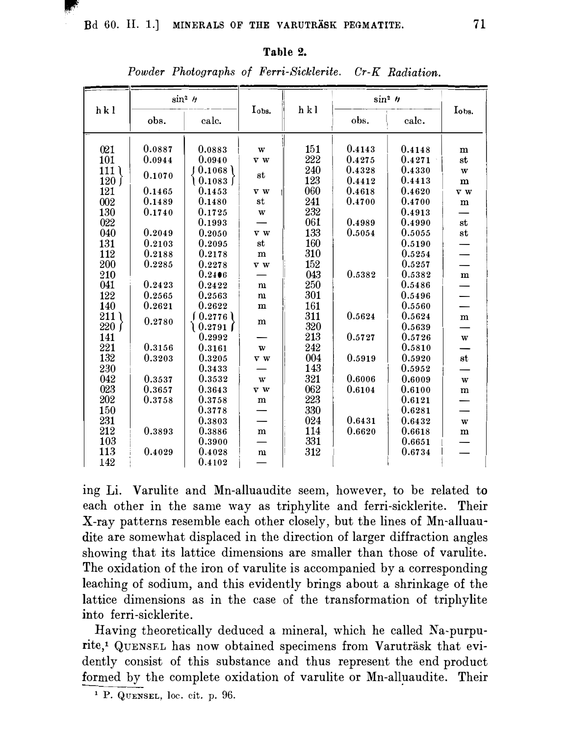## Table 2.

| h k l        | $\sin^2 h$   |                      |                  | h k l | $\sin^2 h$       |        |                           |  |
|--------------|--------------|----------------------|------------------|-------|------------------|--------|---------------------------|--|
|              | obs.         | calc.                | Iobs.            |       | obs.             | calc.  | Iobs.                     |  |
|              | 0.0887       | 0.0883               | W                | 151   | 0.4143           | 0.4148 |                           |  |
| 021          | 0.0944       | 0.0940               |                  | 222   | 0.4275           | 0.4271 | $\mathbf m$               |  |
| 101          |              |                      | v w              | 240   | 0.4328           | 0.4330 | st                        |  |
| 111)         | 0.1070       | 0.1068               | $_{\rm st}$      | 123   |                  | 0.4413 | $\ensuremath{\text{w}}$   |  |
| 120 f<br>121 | 0.1465       | \ 0.1083 ∫<br>0.1453 |                  | 060   | 0.4412<br>0.4618 | 0.4620 | $\mathbf m$               |  |
|              |              |                      | v w              | 241   |                  |        | v w                       |  |
| 002          | 0.1489       | 0.1480               | st               | 232   | 0.4700           | 0.4700 | $\mathbf m$               |  |
| 130          | 0.1740       | 0.1725               | W                | 061   |                  | 0.4913 |                           |  |
| 022          |              | 0.1993               |                  |       | 0.4989           | 0.4990 | st                        |  |
| 040          | 0.2049       | 0.2050               | v w              | 133   | 0.5054           | 0.5055 | $^{\rm st}$               |  |
| 131          | 0.2103       | 0.2095               | st               | 160   |                  | 0.5190 |                           |  |
| 112          | 0.2188       | 0.2178               | m                | 310   |                  | 0.5254 |                           |  |
| 200          | $\,0.2285\,$ | 0.2278               | $\overline{v}$ w | 152   |                  | 0.5257 |                           |  |
| 210          |              | 0.2406               |                  | 043   | 0.5382           | 0.5382 | $\mathbf m$               |  |
| 041          | 0.2423       | 0.2422               | m                | 250   |                  | 0.5486 |                           |  |
| 122          | 0.2565       | 0.2563               | m                | 301   |                  | 0.5496 |                           |  |
| 140          | 0.2621       | 0.2622               | $\mathbf m$      | 161   |                  | 0.5560 |                           |  |
| 211)         | 0.2780       | (0.2776)             | m                | 311   | 0.5624           | 0.5624 | m                         |  |
| 220 f        |              | $\big\{0.2791\big\}$ |                  | 320   |                  | 0.5639 |                           |  |
| 141          |              | 0.2992               |                  | 213   | 0.5727           | 0.5726 | $\ensuremath{\mathbf{w}}$ |  |
| 221          | 0.3156       | 0.3161               | $\mathbf{w}$     | 242   |                  | 0.5810 |                           |  |
| 132          | 0.3203       | 0.3205               | v w              | 004   | 0.5919           | 0.5920 | st                        |  |
| 230          |              | 0.3433               |                  | 143   |                  | 0.5952 |                           |  |
| 042          | 0.3537       | 0.3532               | W                | 321   | 0.6006           | 0.6009 | w                         |  |
| 023          | 0.3657       | 0.3643               | v w              | 062   | 0.6104           | 0.6100 | m                         |  |
| 202          | 0.3758       | 0.3758               | ${\bf m}$        | 223   |                  | 0.6121 |                           |  |
| 150          |              | 0.3778               |                  | 330   |                  | 0.6281 |                           |  |
| 231          |              | 0.3803               |                  | 024   | 0.6431           | 0.6432 | $\bf w$                   |  |
| 212          | 0.3893       | 0.3886               | m                | 114   | 0.6620           | 0.6618 | $\mathbf m$               |  |
| 103          |              | 0.3900               |                  | 331   |                  | 0.6651 |                           |  |
| 113          | 0.4029       | 0.4028               | m                | 312   |                  | 0.6734 |                           |  |
| 142          |              | 0.4102               |                  |       |                  |        |                           |  |

Powder Photographs of Ferri-Sicklerite. Cr-K Radiation.

ing Li. Varulite and Mn-alluaudite seem, however, to be related to each other in the same way as triphylite and ferri-sicklerite. Their X-ray patterns resemble each other closely, but the lines of Mn-alluaudite are somewhat displaced in the direction of larger diffraction angles showing that its lattice dimensions are smaller than those of varulite. The oxidation of the iron of varulite is accompanied by a corresponding leaching of sodium, and this evidently brings about a shrinkage of the lattice dimensions as in the case of the transformation of triphylite into ferri-sicklerite.

Having theoretically deduced a mineral, which he called Na-purpurite,<sup>1</sup> QUENSEL has now obtained specimens from Varuträsk that evidently consist of this substance and thus represent the end product formed by the complete oxidation of varulite or Mn-alluaudite. Their

<sup>&</sup>lt;sup>1</sup> P. QUENSEL, loc. cit. p. 96.